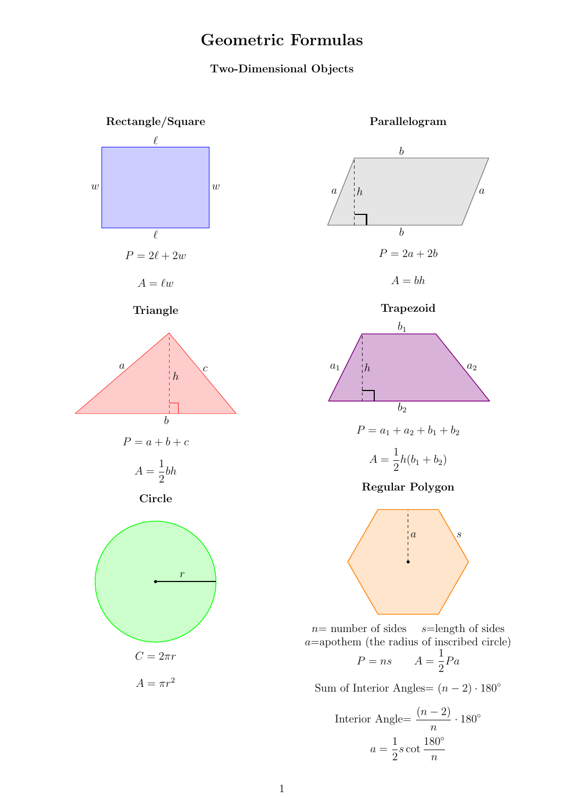## Geometric Formulas

## Two-Dimensional Objects





 $n=$  number of sides  $s=$  length of sides  $a$ =apothem (the radius of inscribed circle)

$$
P = ns \qquad A = \frac{1}{2}Pa
$$

Sum of Interior Angles=  $(n-2) \cdot 180^\circ$ 

$$
\text{Interior Angle} = \frac{(n-2)}{n} \cdot 180^{\circ}
$$
\n
$$
a = \frac{1}{2}s \cot \frac{180^{\circ}}{n}
$$